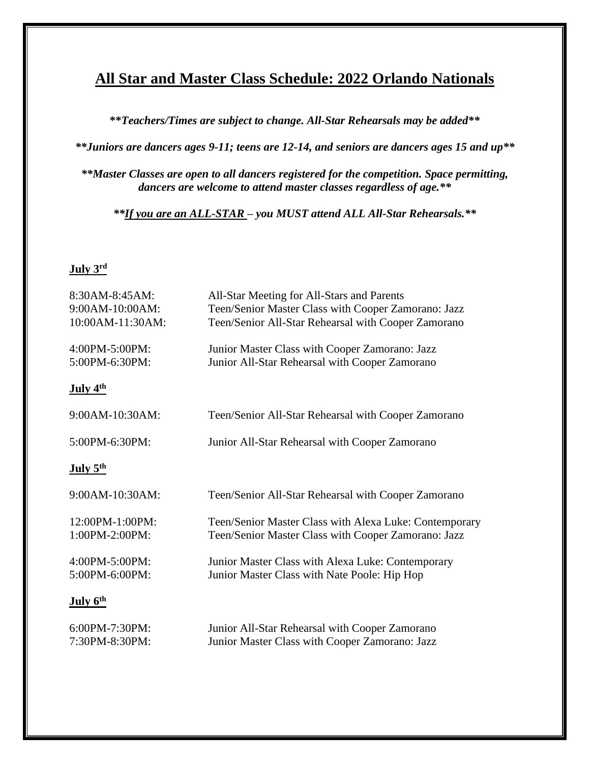## **All Star and Master Class Schedule: 2022 Orlando Nationals**

**\*\****Teachers/Times are subject to change. All-Star Rehearsals may be added\*\**

*\*\*Juniors are dancers ages 9-11; teens are 12-14, and seniors are dancers ages 15 and up\*\**

*\*\*Master Classes are open to all dancers registered for the competition. Space permitting, dancers are welcome to attend master classes regardless of age.\*\**

*\*\*If you are an ALL-STAR – you MUST attend ALL All-Star Rehearsals.\*\**

## **July 3 rd**

| 8:30AM-8:45AM:<br>9:00AM-10:00AM:<br>10:00AM-11:30AM: | All-Star Meeting for All-Stars and Parents<br>Teen/Senior Master Class with Cooper Zamorano: Jazz<br>Teen/Senior All-Star Rehearsal with Cooper Zamorano |
|-------------------------------------------------------|----------------------------------------------------------------------------------------------------------------------------------------------------------|
| 4:00PM-5:00PM:<br>5:00PM-6:30PM:                      | Junior Master Class with Cooper Zamorano: Jazz<br>Junior All-Star Rehearsal with Cooper Zamorano                                                         |
| July 4th                                              |                                                                                                                                                          |
| 9:00AM-10:30AM:                                       | Teen/Senior All-Star Rehearsal with Cooper Zamorano                                                                                                      |
| 5:00PM-6:30PM:                                        | Junior All-Star Rehearsal with Cooper Zamorano                                                                                                           |
| July $5th$                                            |                                                                                                                                                          |
| 9:00AM-10:30AM:                                       | Teen/Senior All-Star Rehearsal with Cooper Zamorano                                                                                                      |
| 12:00PM-1:00PM:<br>1:00PM-2:00PM:                     | Teen/Senior Master Class with Alexa Luke: Contemporary<br>Teen/Senior Master Class with Cooper Zamorano: Jazz                                            |
| 4:00PM-5:00PM:<br>5:00PM-6:00PM:                      | Junior Master Class with Alexa Luke: Contemporary<br>Junior Master Class with Nate Poole: Hip Hop                                                        |
| July 6 <sup>th</sup>                                  |                                                                                                                                                          |
| 6:00PM-7:30PM:<br>7:30PM-8:30PM:                      | Junior All-Star Rehearsal with Cooper Zamorano<br>Junior Master Class with Cooper Zamorano: Jazz                                                         |